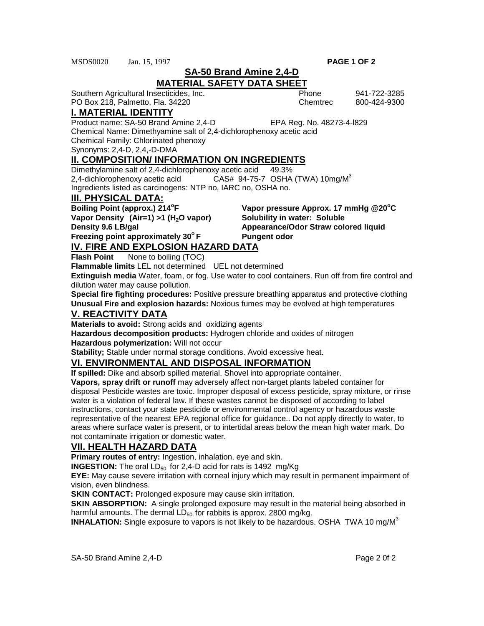MSDS0020 Jan. 15, 1997 **PAGE 1 OF 2**

**SA-50 Brand Amine 2,4-D**

# **MATERIAL SAFETY DATA SHEET**

Southern Agricultural Insecticides, Inc. Phone 941-722-3285 PO Box 218, Palmetto, Fla. 34220 Chemtrec 800-424-9300

## **I. MATERIAL IDENTITY**

Product name: SA-50 Brand Amine 2,4-D EPA Reg. No. 48273-4-l829

Chemical Name: Dimethyamine salt of 2,4-dichlorophenoxy acetic acid

Chemical Family: Chlorinated phenoxy

Synonyms: 2,4-D, 2,4,-D-DMA

#### **II. COMPOSITION/ INFORMATION ON INGREDIENTS**

Dimethylamine salt of 2,4-dichlorophenoxy acetic acid 49.3% 2,4-dichlorophenoxy acetic acid  $\overline{C}$ AS# 94-75-7 OSHA (TWA) 10mg/M<sup>3</sup> Ingredients listed as carcinogens: NTP no, IARC no, OSHA no.

#### **III. PHYSICAL DATA:**

**Boiling Point (approx.) 214°F** Vapor Density (Air=1) >1 (H<sub>2</sub>O vapor) Solubility in water: Soluble **Freezing point approximately 30°F** Pungent odor

**F** Vapor pressure Approx. 17 mmHg @20°C **Density 9.6 LB/gal Appearance/Odor Straw colored liquid** 

**IV. FIRE AND EXPLOSION HAZARD DATA Flash Point** None to boiling (TOC)

**Flammable limits** LEL not determined UEL not determined

**Extinguish media** Water, foam, or fog. Use water to cool containers. Run off from fire control and dilution water may cause pollution.

**Special fire fighting procedures:** Positive pressure breathing apparatus and protective clothing **Unusual Fire and explosion hazards:** Noxious fumes may be evolved at high temperatures

#### **V. REACTIVITY DATA**

**Materials to avoid:** Strong acids and oxidizing agents

**Hazardous decomposition products:** Hydrogen chloride and oxides of nitrogen

**Hazardous polymerization:** Will not occur

**Stability;** Stable under normal storage conditions. Avoid excessive heat.

# **VI. ENVIRONMENTAL AND DISPOSAL INFORMATION**

**If spilled:** Dike and absorb spilled material. Shovel into appropriate container.

**Vapors, spray drift or runoff** may adversely affect non-target plants labeled container for disposal Pesticide wastes are toxic. Improper disposal of excess pesticide, spray mixture, or rinse water is a violation of federal law. If these wastes cannot be disposed of according to label instructions, contact your state pesticide or environmental control agency or hazardous waste representative of the nearest EPA regional office for guidance.. Do not apply directly to water, to areas where surface water is present, or to intertidal areas below the mean high water mark. Do not contaminate irrigation or domestic water.

#### **VII. HEALTH HAZARD DATA**

**Primary routes of entry:** Ingestion, inhalation, eye and skin.

**INGESTION:** The oral LD<sub>50</sub> for 2,4-D acid for rats is 1492 mg/Kg

**EYE:** May cause severe irritation with corneal injury which may result in permanent impairment of vision, even blindness.

**SKIN CONTACT:** Prolonged exposure may cause skin irritation.

**SKIN ABSORPTION:** A single prolonged exposure may result in the material being absorbed in harmful amounts. The dermal  $LD_{50}$  for rabbits is approx. 2800 mg/kg.

**INHALATION:** Single exposure to vapors is not likely to be hazardous. OSHA TWA 10 mg/M3